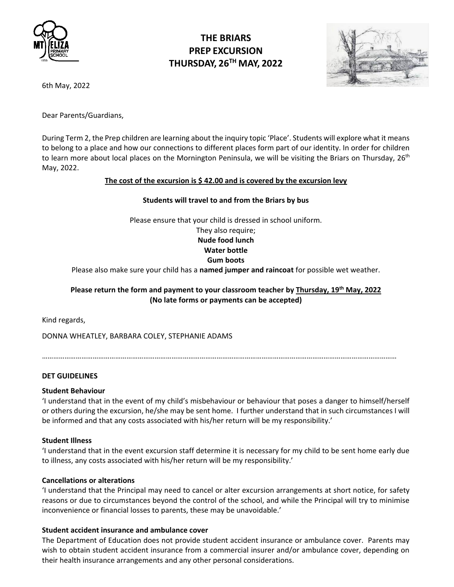

# **THE BRIARS PREP EXCURSION THURSDAY, 26TH MAY, 2022**



6th May, 2022

Dear Parents/Guardians,

During Term 2, the Prep children are learning about the inquiry topic 'Place'. Students will explore what it means to belong to a place and how our connections to different places form part of our identity. In order for children to learn more about local places on the Mornington Peninsula, we will be visiting the Briars on Thursday, 26<sup>th</sup> May, 2022.

## **The cost of the excursion is \$ 42.00 and is covered by the excursion levy**

#### **Students will travel to and from the Briars by bus**

Please ensure that your child is dressed in school uniform.

They also require; **Nude food lunch Water bottle**

# **Gum boots**

Please also make sure your child has a **named jumper and raincoat** for possible wet weather.

# **Please return the form and payment to your classroom teacher by Thursday, 19th May, 2022 (No late forms or payments can be accepted)**

Kind regards,

DONNA WHEATLEY, BARBARA COLEY, STEPHANIE ADAMS

………………………………………………………………………………………………………………………………………………………………………

## **DET GUIDELINES**

#### **Student Behaviour**

'I understand that in the event of my child's misbehaviour or behaviour that poses a danger to himself/herself or others during the excursion, he/she may be sent home. I further understand that in such circumstances I will be informed and that any costs associated with his/her return will be my responsibility.'

#### **Student Illness**

'I understand that in the event excursion staff determine it is necessary for my child to be sent home early due to illness, any costs associated with his/her return will be my responsibility.'

#### **Cancellations or alterations**

'I understand that the Principal may need to cancel or alter excursion arrangements at short notice, for safety reasons or due to circumstances beyond the control of the school, and while the Principal will try to minimise inconvenience or financial losses to parents, these may be unavoidable.'

## **Student accident insurance and ambulance cover**

The Department of Education does not provide student accident insurance or ambulance cover. Parents may wish to obtain student accident insurance from a commercial insurer and/or ambulance cover, depending on their health insurance arrangements and any other personal considerations.